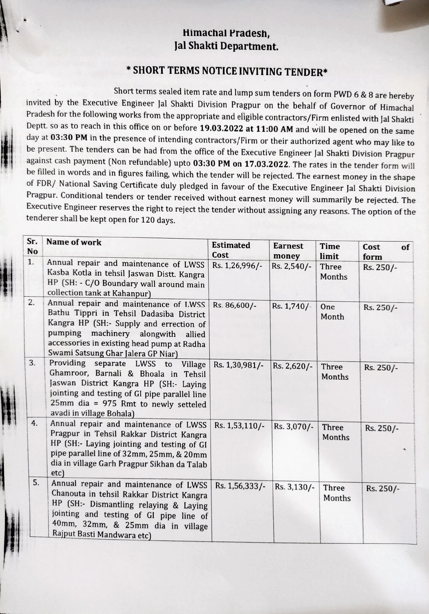#### Himachal Pradesh, Jal Shakti Department.

## \*SHORT TERMS NOTICE INVITING TENDER\*

Short terms sealed item rate and lump sum tenders on form PWD 6 & 8 are hereby<br>invited by the Executive Engineer Jal Shakti Division Pragpur on the behalf of Governor of Himachal<br>Pradesh for the following works from the ap Deptt. so as to reach in this office on or before 19.03.2022 at 11:00 AM and will be opened on the same day at 03:30 PM in the presence of intending contractors/Firm or their authorized agent who may like to be present. The tenders can be had from the office of the Executive Engineer Jal Shakti Division Pragpur against cash payment (Non refundable) upto 03:30 PM on 17.03.2022. The rates in the tender form will be filled in words and in figures failing, which the tender will be rejected. The earnest money in the shape of FDR/ National Saving Certificate duly pledged in favour of the Executive Engineer Jal Shakti Division Pragpur. Conditional tenders or tender received without earnest money will summarily be rejected. The Executive Engineer reserves the right to reject the tender without assigning any reasons. The option of the tenderer shall be kept open for 120 days.

| Sr.<br><b>No</b> | Name of work                                                                                                                                                                                                                                              | <b>Estimated</b><br>Cost | <b>Earnest</b><br>money | Time<br>limit   | Cost<br>of<br>form |
|------------------|-----------------------------------------------------------------------------------------------------------------------------------------------------------------------------------------------------------------------------------------------------------|--------------------------|-------------------------|-----------------|--------------------|
| 1.               | Annual repair and maintenance of LWSS<br>Kasba Kotla in tehsil Jaswan Distt. Kangra<br>HP (SH: - C/O Boundary wall around main<br>collection tank at Kahanpur)                                                                                            | Rs. 1,26,996/-           | Rs. 2,540/-             | Three<br>Months | Rs. 250/-          |
| 2.               | Annual repair and maintenance of LWSS<br>Bathu Tippri in Tehsil Dadasiba District<br>Kangra HP (SH:- Supply and errection of<br>pumping machinery alongwith<br>allied<br>accessories in existing head pump at Radha<br>Swami Satsung Ghar Jalera GP Niar) | Rs. 86,600/-             | Rs. 1,740/-             | One<br>Month    | Rs. 250/-          |
| 3.               | Providing separate LWSS to<br>Village<br>Ghamroor, Barnali & Bhoala in Tehsil<br>Jaswan District Kangra HP (SH:- Laying<br>jointing and testing of GI pipe parallel line<br>25mm dia = 975 Rmt to newly setteled<br>avadi in village Bohala)              | Rs. 1,30,981/-           | Rs. 2,620/-             | Three<br>Months | Rs. 250/-          |
| 4.               | Annual repair and maintenance of LWSS<br>Pragpur in Tehsil Rakkar District Kangra<br>HP (SH:- Laying jointing and testing of GI<br>pipe parallel line of 32mm, 25mm, & 20mm<br>dia in village Garh Pragpur Sikhan da Talab<br>etc)                        | Rs. 1,53,110/-           | Rs. 3,070/-             | Three<br>Months | Rs. 250/-          |
| 5.               | Annual repair and maintenance of LWSS<br>Chanouta in tehsil Rakkar District Kangra<br>HP (SH:- Dismantling relaying & Laying<br>jointing and testing of GI pipe line of<br>40mm, 32mm, & 25mm dia in village<br>Rajput Basti Mandwara etc)                | Rs. 1,56,333/-           | Rs. 3,130/-             | Three<br>Months | Rs. 250/-          |